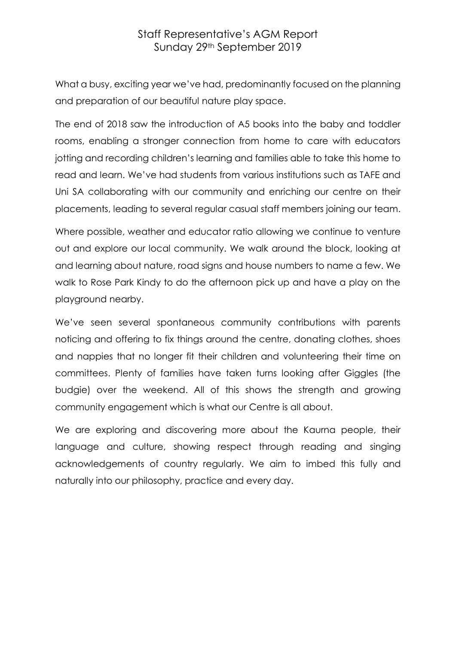## Staff Representative's AGM Report Sunday 29th September 2019

What a busy, exciting year we've had, predominantly focused on the planning and preparation of our beautiful nature play space.

The end of 2018 saw the introduction of A5 books into the baby and toddler rooms, enabling a stronger connection from home to care with educators jotting and recording children's learning and families able to take this home to read and learn. We've had students from various institutions such as TAFE and Uni SA collaborating with our community and enriching our centre on their placements, leading to several regular casual staff members joining our team.

Where possible, weather and educator ratio allowing we continue to venture out and explore our local community. We walk around the block, looking at and learning about nature, road signs and house numbers to name a few. We walk to Rose Park Kindy to do the afternoon pick up and have a play on the playground nearby.

We've seen several spontaneous community contributions with parents noticing and offering to fix things around the centre, donating clothes, shoes and nappies that no longer fit their children and volunteering their time on committees. Plenty of families have taken turns looking after Giggles (the budgie) over the weekend. All of this shows the strength and growing community engagement which is what our Centre is all about.

We are exploring and discovering more about the Kaurna people, their language and culture, showing respect through reading and singing acknowledgements of country regularly. We aim to imbed this fully and naturally into our philosophy, practice and every day.